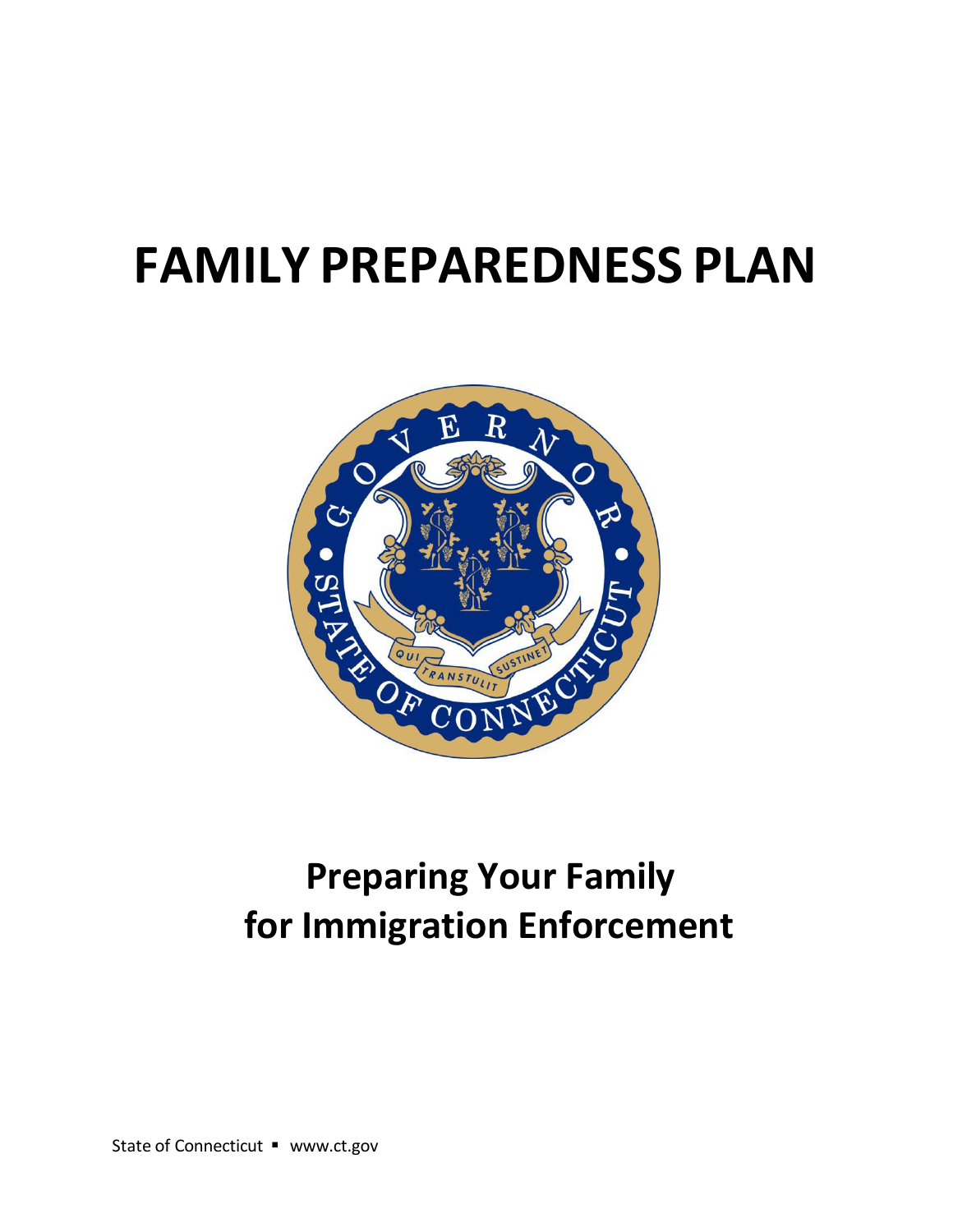# **FAMILY PREPAREDNESS PLAN**



## **Preparing Your Family for Immigration Enforcement**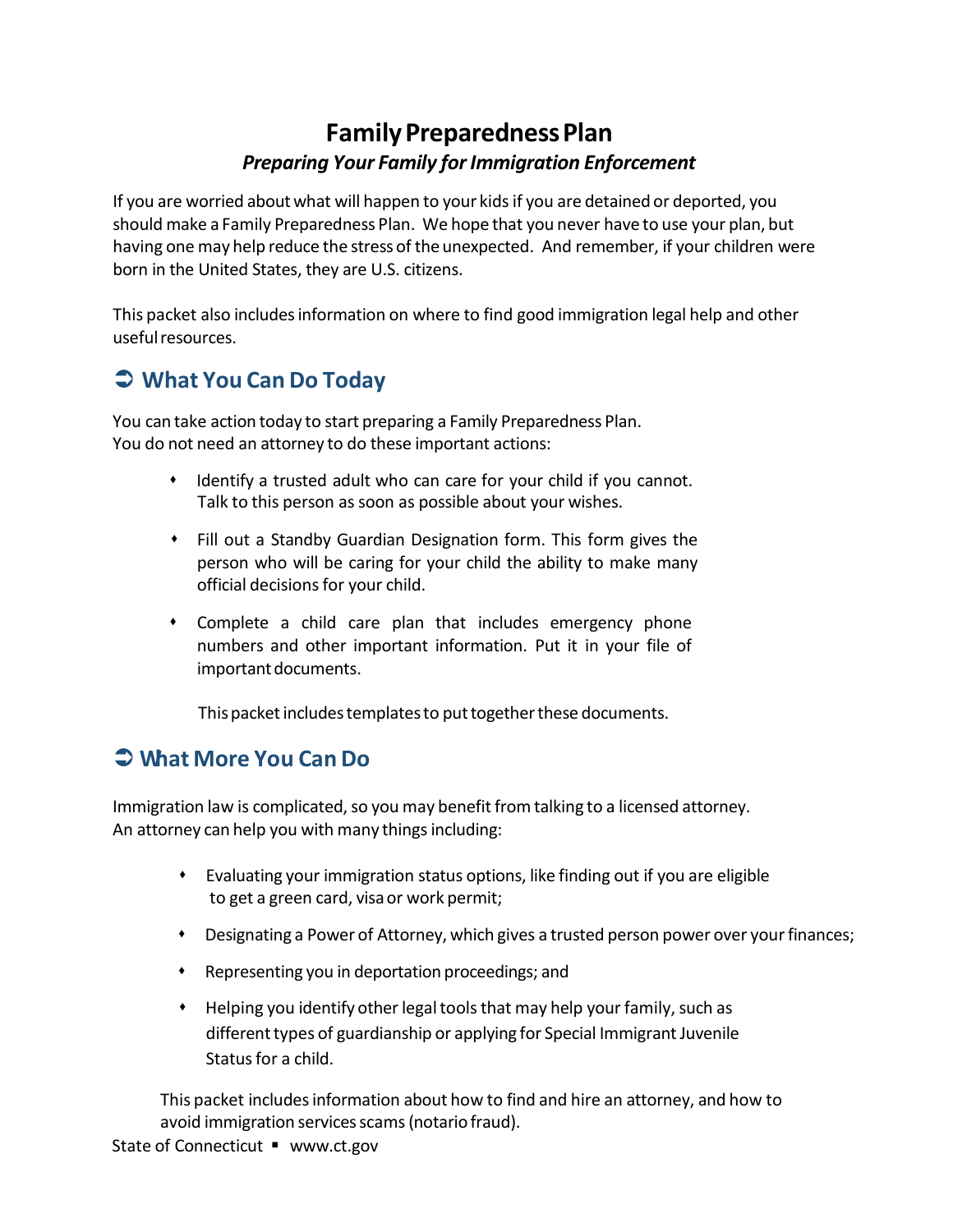### **Family Preparedness Plan** *Preparing Your Family forImmigration Enforcement*

If you are worried aboutwhat will happen to your kidsif you are detained or deported, you should make a Family Preparedness Plan. We hope that you never have to use your plan, but having one may help reduce the stressof the unexpected. And remember, if your children were born in the United States, they are U.S. citizens.

This packet also includesinformation on where to find good immigration legal help and other usefulresources.

### **What You Can Do Today**

You can take action today to start preparing a Family Preparedness Plan. You do not need an attorney to do these important actions:

- Identify a trusted adult who can care for your child if you cannot. Talk to this person as soon as possible about your wishes.
- Fill out a Standby Guardian Designation form. This form gives the person who will be caring for your child the ability to make many official decisions for your child.
- Complete a child care plan that includes emergency phone numbers and other important information. Put it in your file of important documents.

This packet includes templates to put together these documents.

### **What More You CanDo**

Immigration law is complicated, so you may benefit from talking to a licensed attorney. An attorney can help you with many things including:

- Evaluating your immigration status options, like finding out if you are eligible to get a green card, visaor work permit;
- Designating a Power of Attorney, which gives a trusted person power over yourfinances;
- Representing you in deportation proceedings; and
- Helping you identify other legal tools that may help your family, such as different types of guardianship or applying for Special Immigrant Juvenile Status for a child.

This packet includesinformation about how to find and hire an attorney, and how to avoid immigration services scams (notario fraud).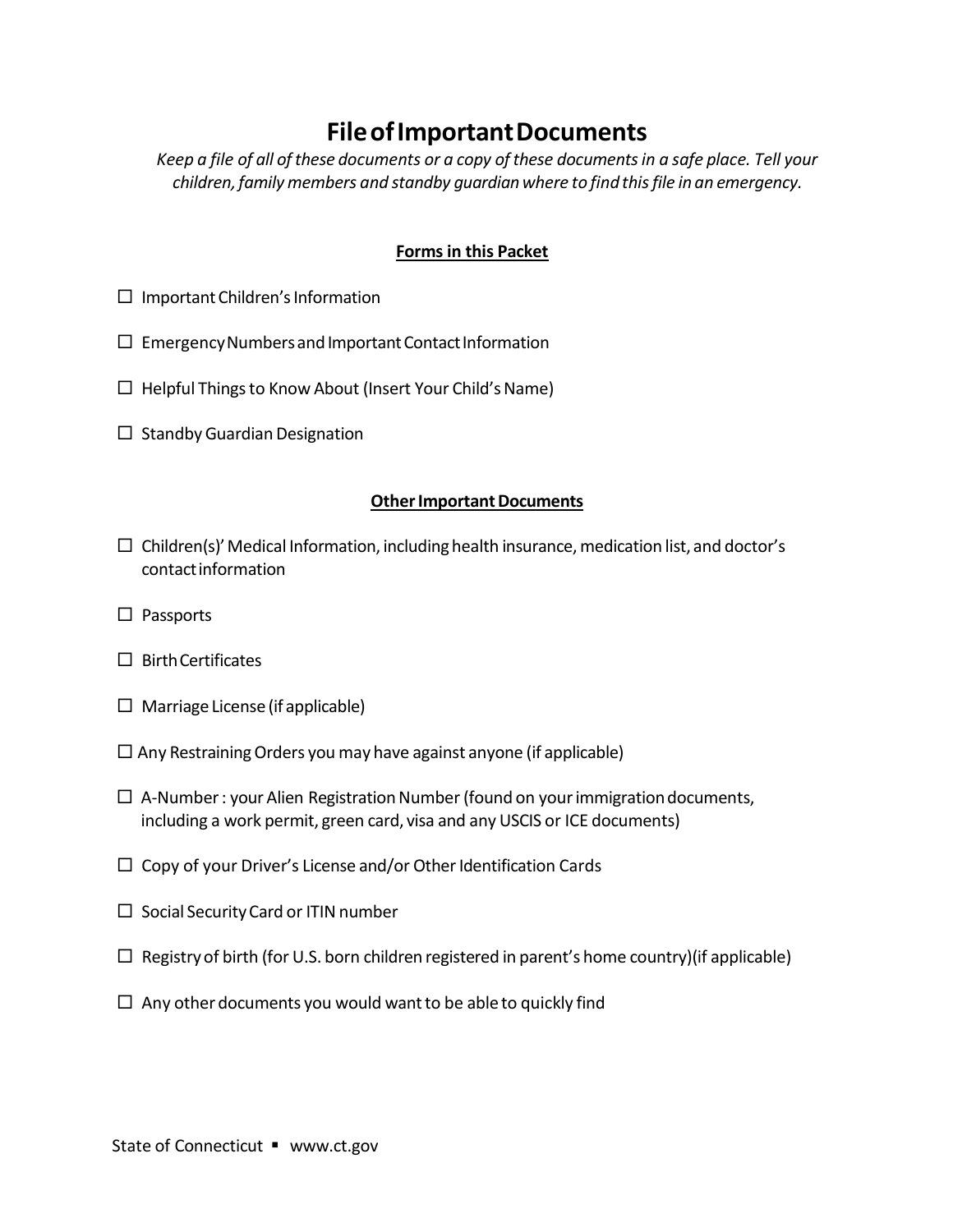### **FileofImportantDocuments**

*Keep a file of all ofthese documents or a copy ofthese documentsin a safe place. Tell your children,familymembers and standby guardianwhere to findthisfile in an emergency.*

#### **Forms in this Packet**

- $\Box$  Important Children's Information
- $\square$  Emergency Numbers and Important Contact Information
- $\Box$  Helpful Things to Know About (Insert Your Child's Name)
- $\Box$  Standby Guardian Designation

#### **Other Important Documents**

- $\Box$  Children(s)' Medical Information, including health insurance, medication list, and doctor's contactinformation
- $\square$  Passports
- $\Box$  Birth Certificates
- $\Box$  Marriage License (if applicable)
- $\Box$  Any Restraining Orders you may have against anyone (if applicable)
- $\Box$  A-Number: your Alien Registration Number (found on your immigration documents, including a work permit, green card, visa and any USCIS or ICE documents)
- $\Box$  Copy of your Driver's License and/or Other Identification Cards
- $\Box$  Social Security Card or ITIN number
- $\Box$  Registry of birth (for U.S. born children registered in parent's home country)(if applicable)
- $\Box$  Any other documents you would want to be able to quickly find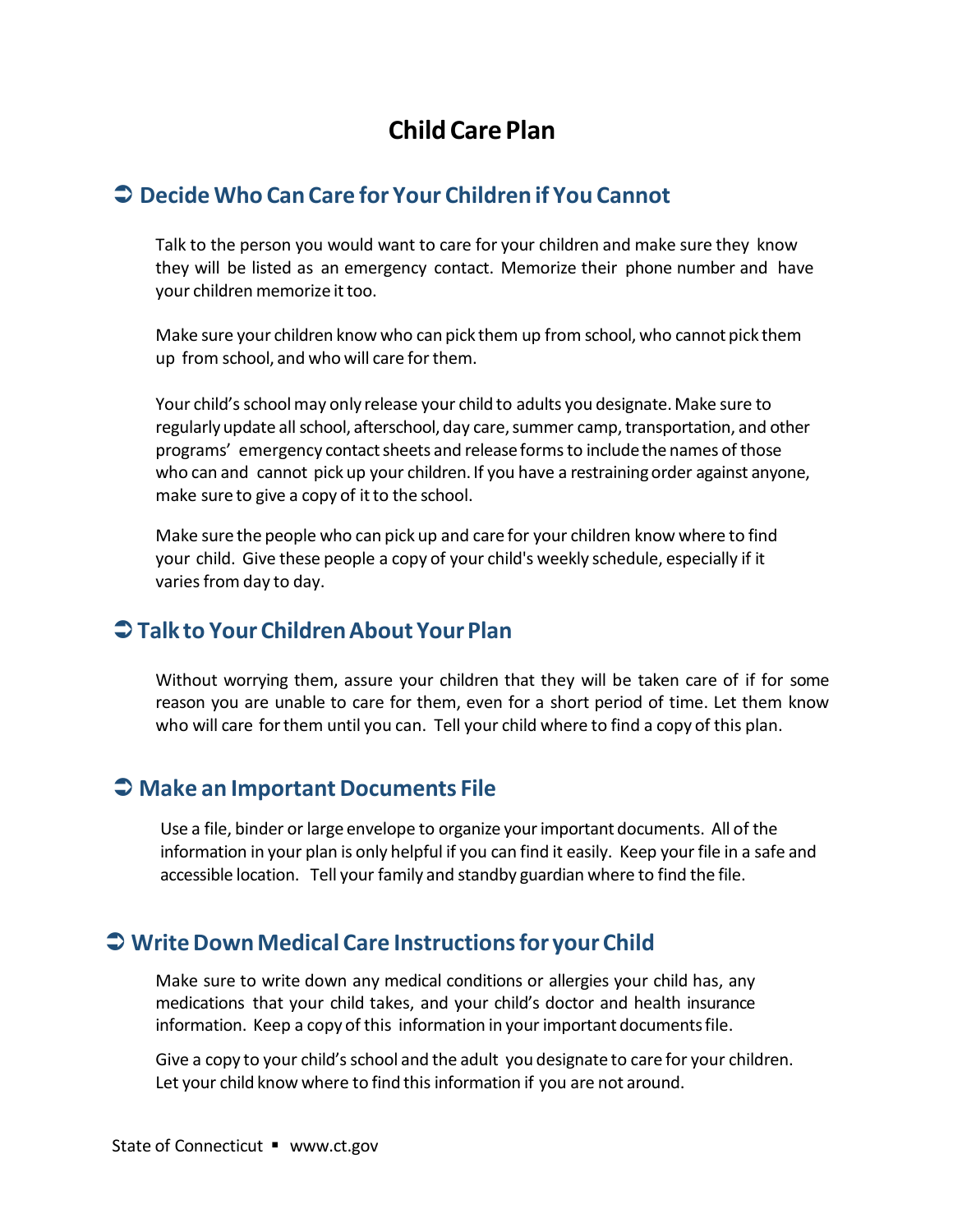### **Child Care Plan**

#### **Decide Who CanCare for Your Children if You Cannot**

Talk to the person you would want to care for your children and make sure they know they will be listed as an emergency contact. Memorize their phone number and have your children memorize it too.

Make sure your children know who can pick them up from school, who cannot pick them up from school, and who will care forthem.

Your child's school may only release your child to adults you designate. Make sure to regularly update all school, afterschool, day care, summer camp, transportation, and other programs' emergency contact sheets and release forms to include the names of those who can and cannot pick up your children. If you have a restraining order against anyone, make sure to give a copy of it to the school.

Make sure the people who can pick up and care for your children know where to find your child. Give these people a copy of your child's weekly schedule, especially if it varies from day to day.

#### **Talk to Your ChildrenAbout YourPlan**

Without worrying them, assure your children that they will be taken care of if for some reason you are unable to care for them, even for a short period of time. Let them know who will care forthem until you can. Tell your child where to find a copy of this plan.

#### **Make an ImportantDocuments File**

Use a file, binder or large envelope to organize yourimportant documents. All of the information in your plan is only helpful if you can find it easily. Keep your file in a safe and accessible location. Tell your family and standby guardian where to find the file.

#### **WriteDownMedical Care Instructionsfor your Child**

Make sure to write down any medical conditions or allergies your child has, any medications that your child takes, and your child's doctor and health insurance information. Keep a copy of this information in your important documentsfile.

Give a copy to your child's school and the adult you designate to care for your children. Let your child know where to find this information if you are not around.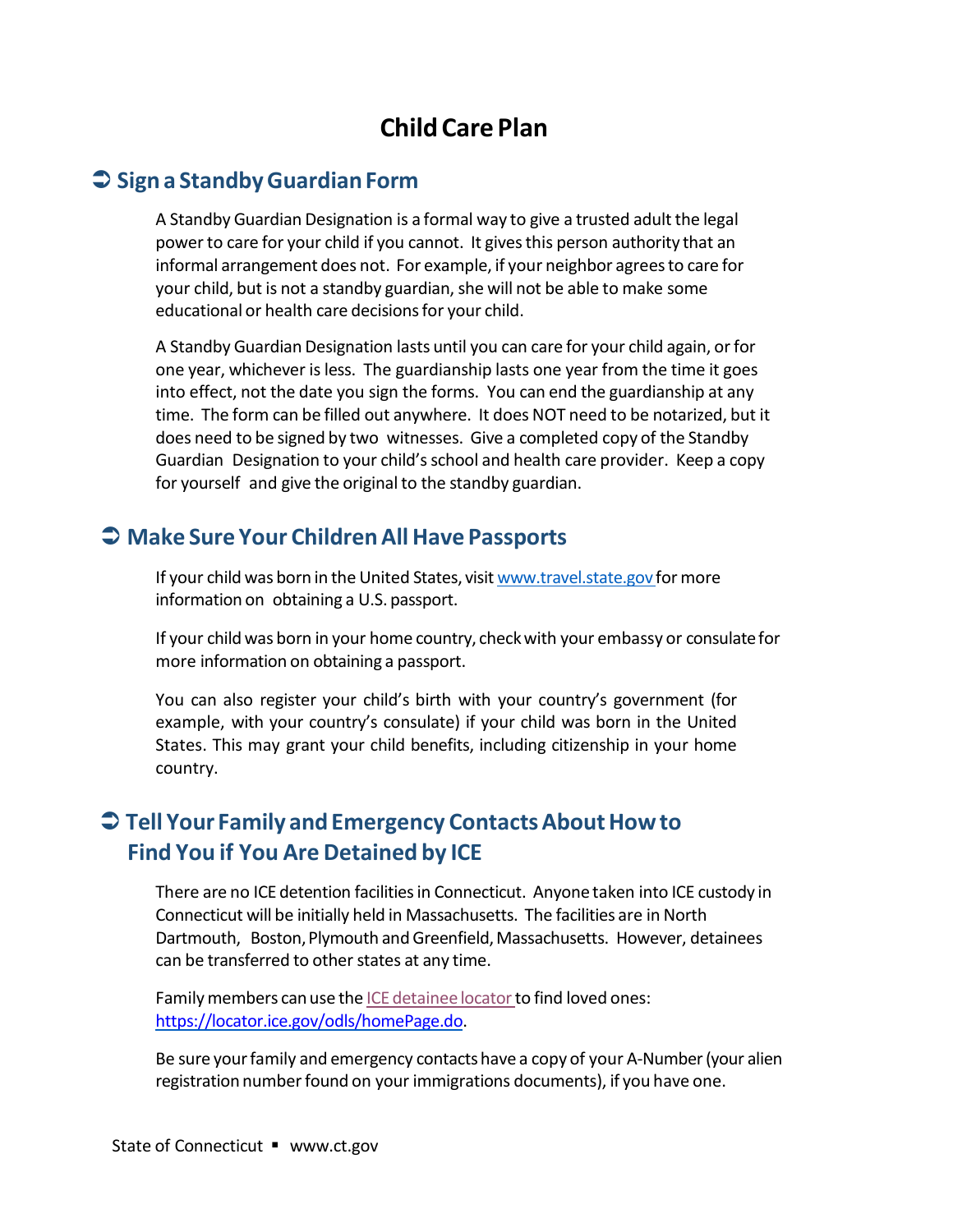### **Child Care Plan**

#### **Sign a StandbyGuardianForm**

A Standby Guardian Designation is a formal way to give a trusted adult the legal power to care for your child if you cannot. It gives this person authority that an informal arrangement does not. For example, if your neighbor agreesto care for your child, but is not a standby guardian, she will not be able to make some educational or health care decisions for your child.

A Standby Guardian Designation lasts until you can care for your child again, orfor one year, whichever isless. The guardianship lasts one year from the time it goes into effect, not the date you sign the forms. You can end the guardianship at any time. The form can be filled out anywhere. It does NOT need to be notarized, but it does need to be signed by two witnesses. Give a completed copy of the Standby Guardian Designation to your child'sschool and health care provider. Keep a copy for yourself and give the original to the standby guardian.

#### **Make Sure Your ChildrenAll Have Passports**

If your child was born in the United States, visit [www.travel.state.gov](http://www.travel.state.gov/) for more information on obtaining a U.S. passport.

If your child was born in your home country, checkwith your embassy or consulatefor more information on obtaining a passport.

You can also register your child's birth with your country's government (for example, with your country's consulate) if your child was born in the United States. This may grant your child benefits, including citizenship in your home country.

### **C** Tell Your Family and Emergency Contacts About How to **Find You if You Are Detained by ICE**

There are no ICE detention facilitiesin Connecticut. Anyone taken into ICE custody in Connecticut will be initially held in Massachusetts. The facilities are in North Dartmouth, Boston,Plymouth andGreenfield,Massachusetts. However, detainees can be transferred to other states at any time.

Family members can use the ICE [detainee](https://locator.ice.gov/odls/homePage.do) locator to find loved ones: [https://locator.ice.gov/odls/homePage.do.](https://locator.ice.gov/odls/homePage.do)

Be sure yourfamily and emergency contactshave a copy of your A-Number(your alien registration number found on your immigrations documents), if you have one.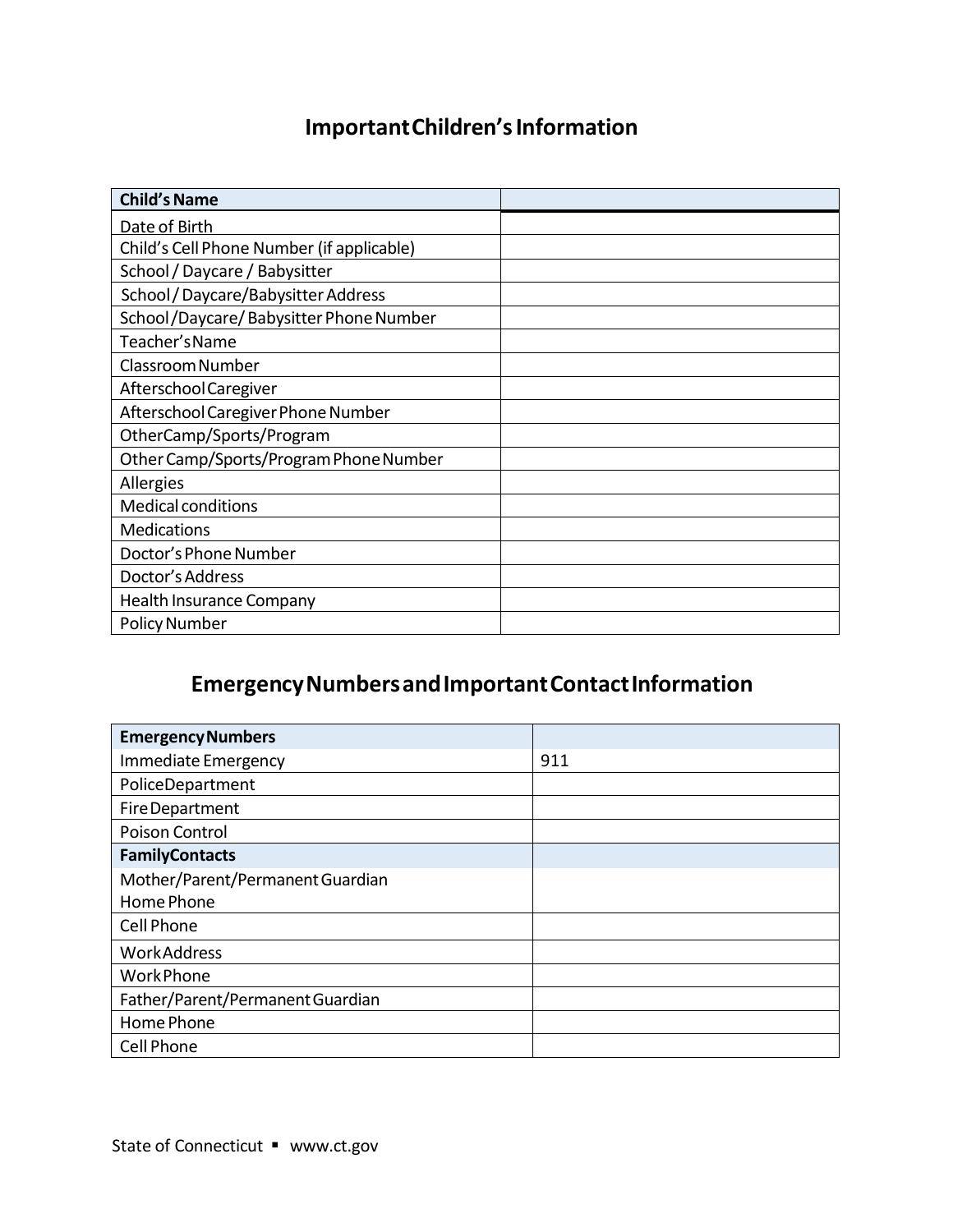### **ImportantChildren'sInformation**

| <b>Child's Name</b>                       |  |
|-------------------------------------------|--|
| Date of Birth                             |  |
| Child's Cell Phone Number (if applicable) |  |
| School / Daycare / Babysitter             |  |
| School / Daycare/Babysitter Address       |  |
| School/Daycare/Babysitter Phone Number    |  |
| Teacher's Name                            |  |
| Classroom Number                          |  |
| Afterschool Caregiver                     |  |
| Afterschool Caregiver Phone Number        |  |
| OtherCamp/Sports/Program                  |  |
| Other Camp/Sports/Program Phone Number    |  |
| Allergies                                 |  |
| <b>Medical conditions</b>                 |  |
| <b>Medications</b>                        |  |
| Doctor's Phone Number                     |  |
| Doctor's Address                          |  |
| <b>Health Insurance Company</b>           |  |
| <b>Policy Number</b>                      |  |

### **EmergencyNumbersandImportantContactInformation**

| <b>Emergency Numbers</b>         |     |
|----------------------------------|-----|
| Immediate Emergency              | 911 |
| PoliceDepartment                 |     |
| Fire Department                  |     |
| Poison Control                   |     |
| <b>FamilyContacts</b>            |     |
| Mother/Parent/Permanent Guardian |     |
| Home Phone                       |     |
| Cell Phone                       |     |
| <b>WorkAddress</b>               |     |
| <b>WorkPhone</b>                 |     |
| Father/Parent/Permanent Guardian |     |
| Home Phone                       |     |
| Cell Phone                       |     |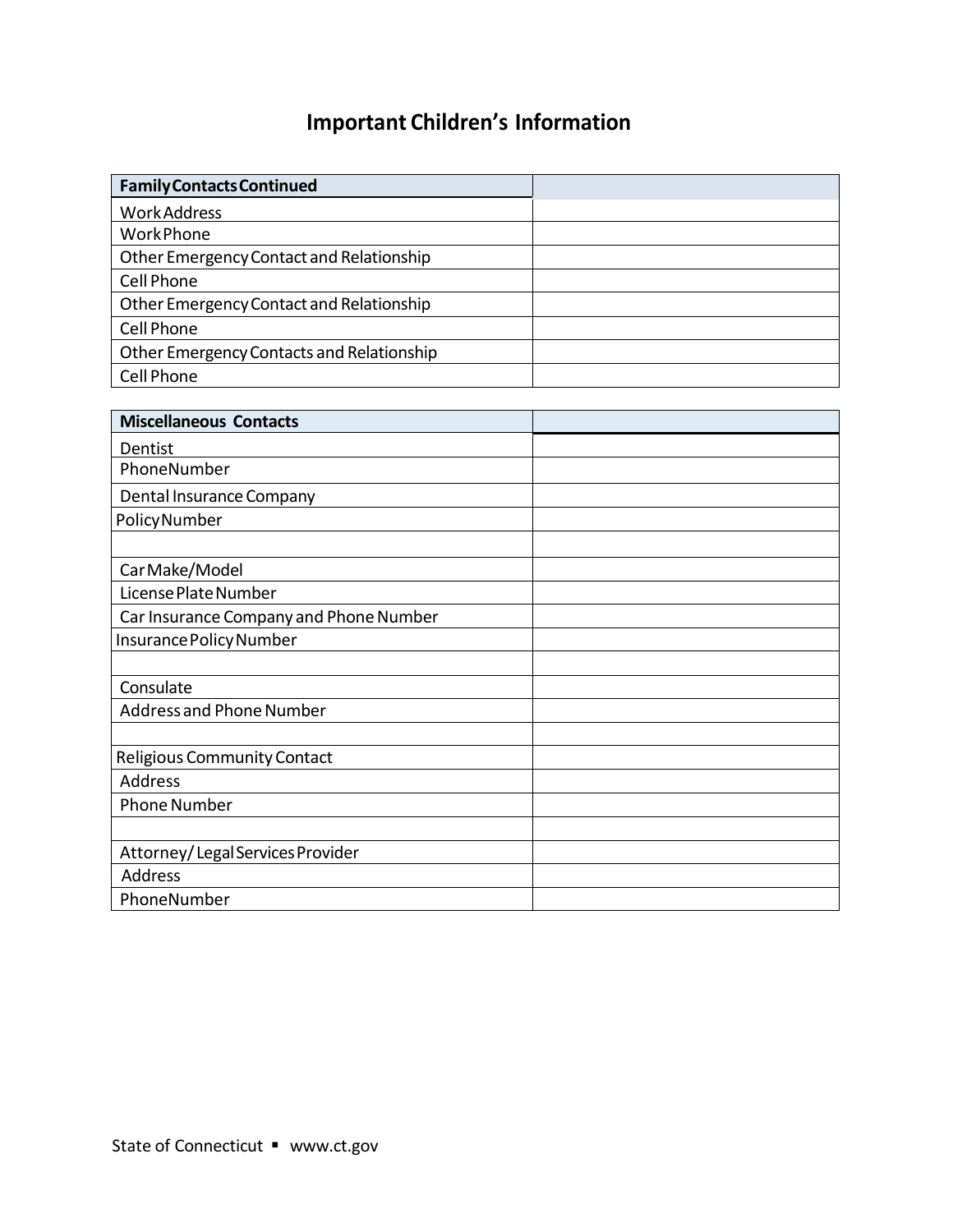### **Important Children's Information**

| <b>Family Contacts Continued</b>          |  |
|-------------------------------------------|--|
| <b>Work Address</b>                       |  |
| <b>WorkPhone</b>                          |  |
| Other Emergency Contact and Relationship  |  |
| Cell Phone                                |  |
| Other Emergency Contact and Relationship  |  |
| Cell Phone                                |  |
| Other Emergency Contacts and Relationship |  |
| Cell Phone                                |  |

| <b>Miscellaneous Contacts</b>          |  |
|----------------------------------------|--|
| Dentist                                |  |
| PhoneNumber                            |  |
| Dental Insurance Company               |  |
| Policy Number                          |  |
|                                        |  |
| Car Make/Model                         |  |
| License Plate Number                   |  |
| Car Insurance Company and Phone Number |  |
| Insurance Policy Number                |  |
|                                        |  |
| Consulate                              |  |
| Address and Phone Number               |  |
|                                        |  |
| Religious Community Contact            |  |
| <b>Address</b>                         |  |
| <b>Phone Number</b>                    |  |
|                                        |  |
| Attorney/Legal Services Provider       |  |
| Address                                |  |
| PhoneNumber                            |  |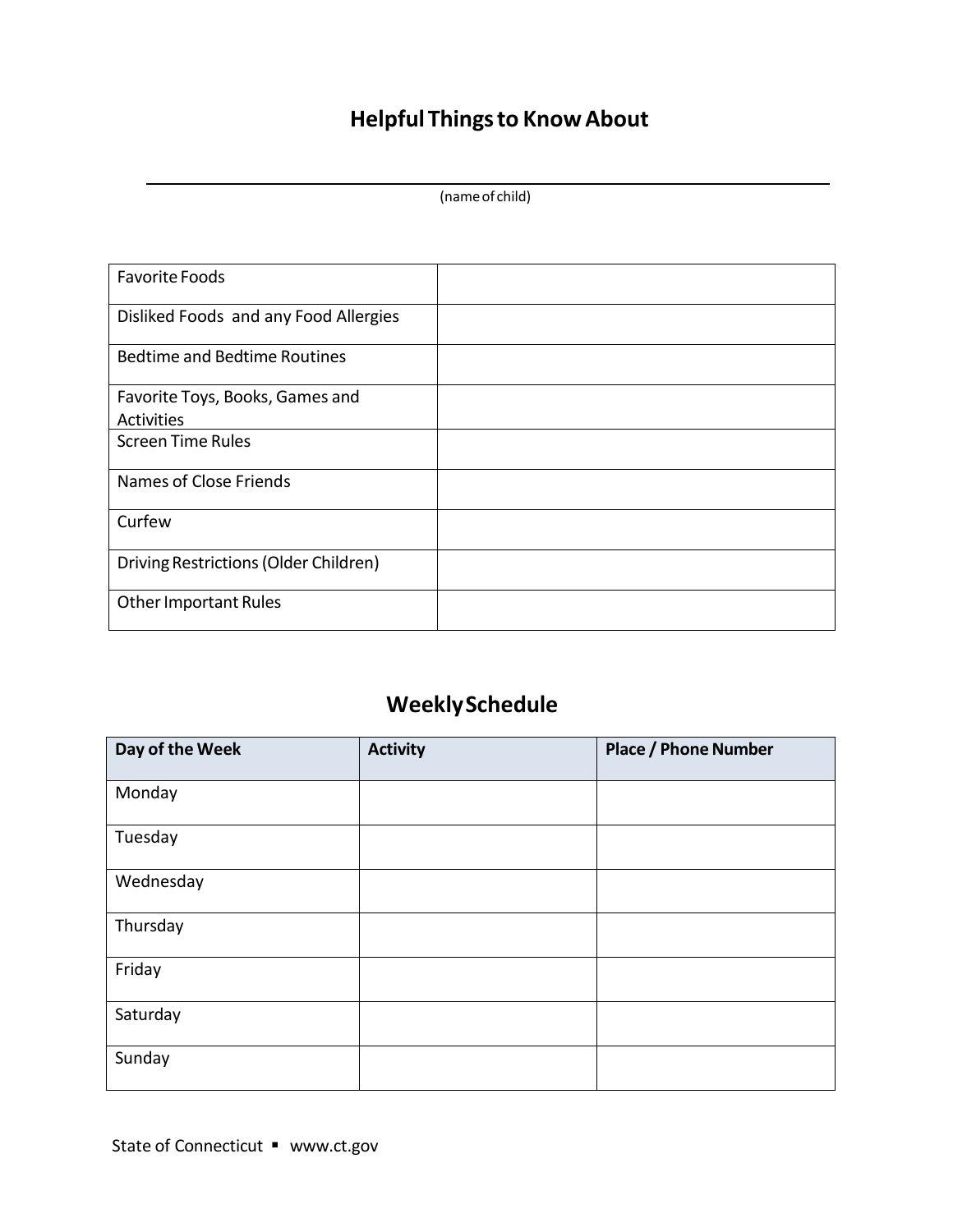## **Helpful Thingsto KnowAbout**

|  |  | (name of child) |
|--|--|-----------------|
|--|--|-----------------|

| <b>Favorite Foods</b>                 |  |
|---------------------------------------|--|
| Disliked Foods and any Food Allergies |  |
| <b>Bedtime and Bedtime Routines</b>   |  |
| Favorite Toys, Books, Games and       |  |
| Activities                            |  |
| <b>Screen Time Rules</b>              |  |
| Names of Close Friends                |  |
| Curfew                                |  |
| Driving Restrictions (Older Children) |  |
| <b>Other Important Rules</b>          |  |

### **WeeklySchedule**

| Day of the Week | <b>Activity</b> | <b>Place / Phone Number</b> |
|-----------------|-----------------|-----------------------------|
| Monday          |                 |                             |
| Tuesday         |                 |                             |
| Wednesday       |                 |                             |
| Thursday        |                 |                             |
| Friday          |                 |                             |
| Saturday        |                 |                             |
| Sunday          |                 |                             |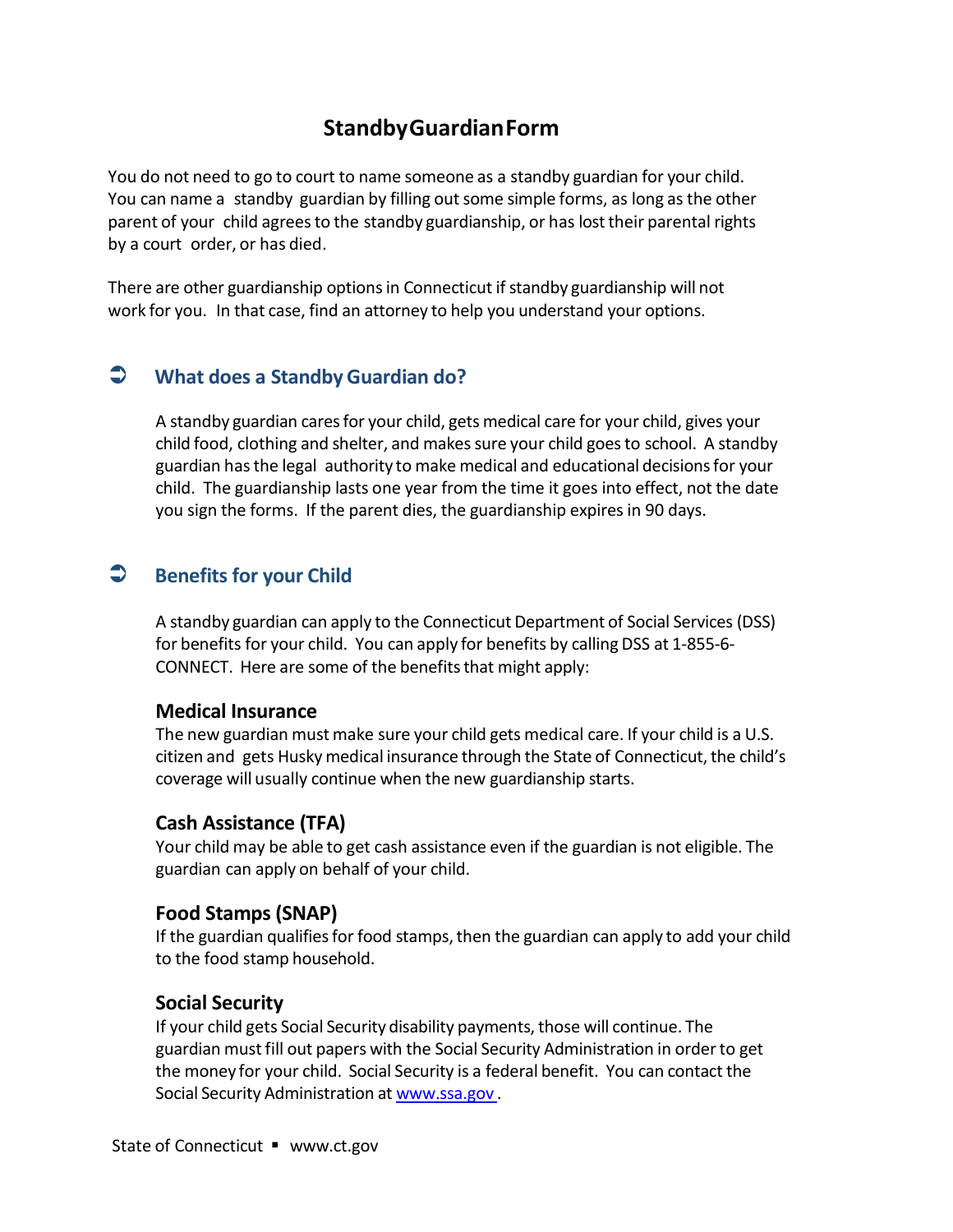#### **StandbyGuardianForm**

You do not need to go to court to name someone as a standby guardian for your child. You can name a standby guardian by filling out some simple forms, as long as the other parent of your child agrees to the standby guardianship, or has lost their parental rights by a court order, or has died.

There are other guardianship options in Connecticut if standby guardianship will not work for you. In that case, find an attorney to help you understand your options.

#### **What does a StandbyGuardian do?**

A standby guardian caresfor your child, gets medical care for your child, gives your child food, clothing and shelter, and makes sure your child goes to school. A standby guardian hasthe legal authority to make medical and educational decisionsfor your child. The guardianship lasts one year from the time it goes into effect, not the date you sign the forms. If the parent dies, the guardianship expires in 90 days.

#### **Benefits for your Child**

A standby guardian can apply to the Connecticut Department of Social Services (DSS) for benefits for your child. You can apply for benefits by calling DSS at 1-855-6- CONNECT. Here are some of the benefits that might apply:

#### **Medical Insurance**

The new guardian must make sure your child gets medical care. If your child is a U.S. citizen and gets Husky medical insurance through the State of Connecticut, the child's coverage will usually continue when the new guardianship starts.

#### **Cash Assistance (TFA)**

Your child may be able to get cash assistance even if the guardian is not eligible. The guardian can apply on behalf of your child.

#### **Food Stamps (SNAP)**

If the guardian qualifies for food stamps, then the guardian can apply to add your child to the food stamp household.

#### **Social Security**

If your child gets Social Security disability payments, those will continue. The guardian mustfill out papers with the Social Security Administration in orderto get the money for your child. Social Security is a federal benefit. You can contact the Social Security Administration at [www.ssa.gov](http://www.ssa.gov/) .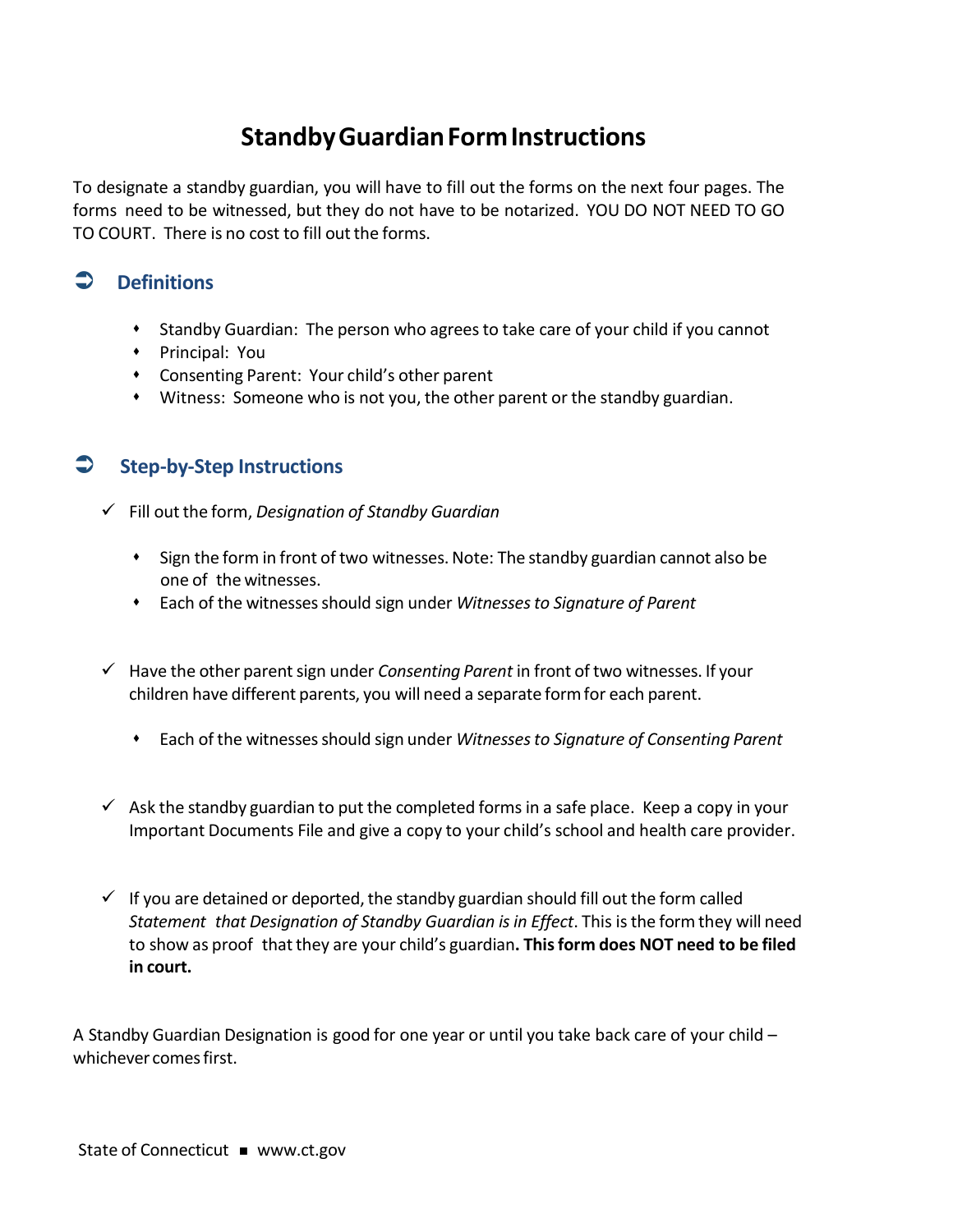### **StandbyGuardianFormInstructions**

To designate a standby guardian, you will have to fill out the forms on the next four pages. The forms need to be witnessed, but they do not have to be notarized. YOU DO NOT NEED TO GO TO COURT. There is no cost to fill out the forms.

#### **Definitions**

- Standby Guardian: The person who agreesto take care of your child if you cannot
- Principal: You
- Consenting Parent: Your child's other parent
- Witness: Someone who is not you, the other parent or the standby guardian.

#### **Step-by-Step Instructions**

- Fill outthe form, *Designation of Standby Guardian*
	- Sign the form in front of two witnesses.Note: The standby guardian cannot also be one of the witnesses.
	- Each of the witnessesshould sign under *Witnessesto Signature of Parent*
- $\checkmark$  Have the other parent sign under *Consenting Parent* in front of two witnesses. If your children have different parents, you will need a separate formfor each parent.
	- Each of the witnessesshould sign under *Witnessesto Signature of Consenting Parent*
- $\checkmark$  Ask the standby guardian to put the completed forms in a safe place. Keep a copy in your Important Documents File and give a copy to your child's school and health care provider.
- $\checkmark$  If you are detained or deported, the standby guardian should fill out the form called *Statement that Designation of Standby Guardian isin Effect*. This isthe form they will need to show as proof thatthey are your child's guardian**. Thisform does NOT need to be filed in court.**

A Standby Guardian Designation is good for one year or until you take back care of your child – whichever comes first.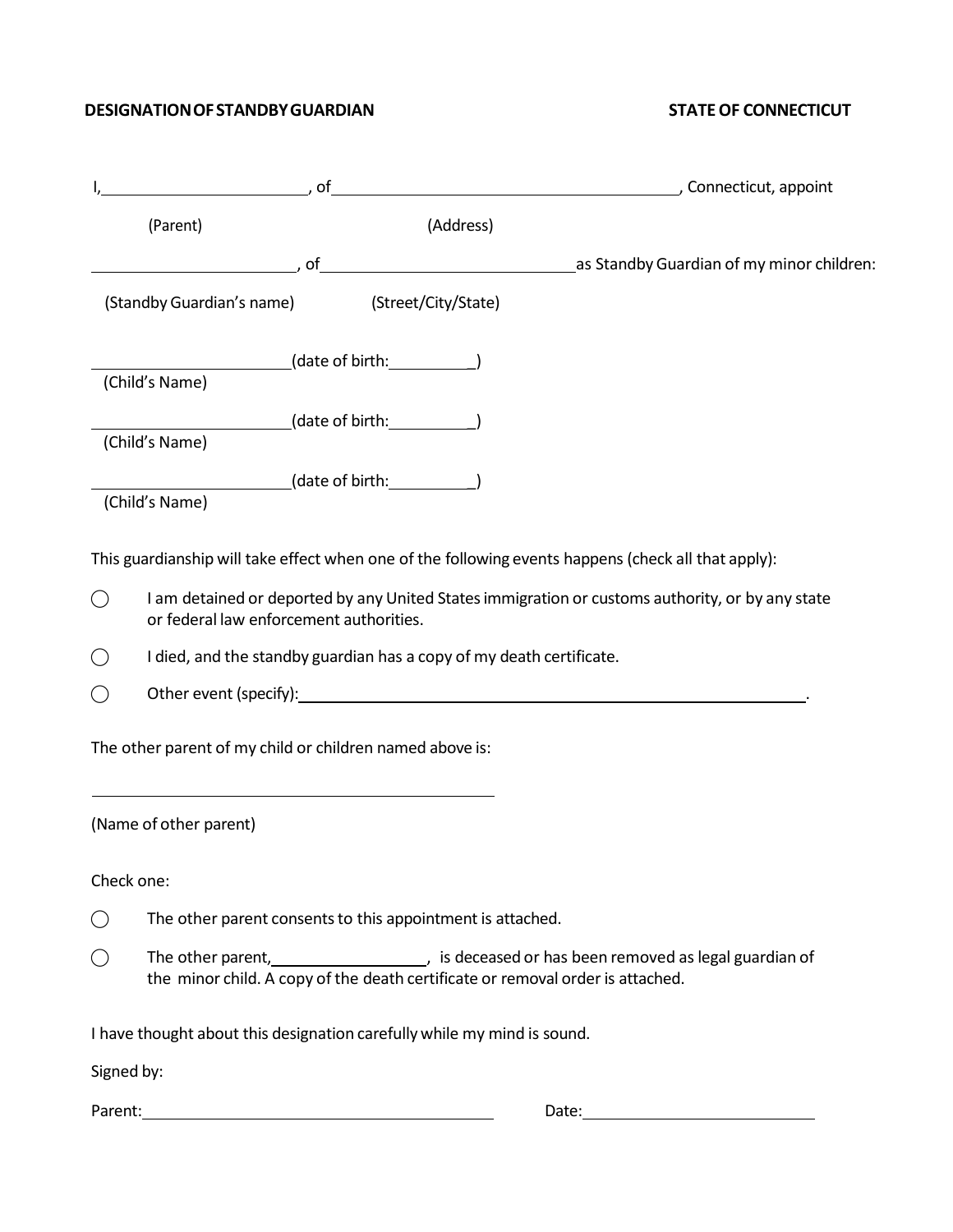#### **DESIGNATION OF STANDBY GUARDIAN STATE OF CONNECTICUT**

|            | (Parent)                                                          | (Address)                                                               |                                                                                                                                                                                                                                |
|------------|-------------------------------------------------------------------|-------------------------------------------------------------------------|--------------------------------------------------------------------------------------------------------------------------------------------------------------------------------------------------------------------------------|
|            |                                                                   |                                                                         | of discussed by Guardian of my minor children:                                                                                                                                                                                 |
|            | (Standby Guardian's name) (Street/City/State)                     |                                                                         |                                                                                                                                                                                                                                |
|            | (Child's Name)                                                    | $(date of birth:$ $\qquad \qquad$                                       |                                                                                                                                                                                                                                |
|            |                                                                   |                                                                         |                                                                                                                                                                                                                                |
|            | (Child's Name)                                                    |                                                                         |                                                                                                                                                                                                                                |
|            | __________________(date of birth:_____________)<br>(Child's Name) |                                                                         |                                                                                                                                                                                                                                |
|            |                                                                   |                                                                         | This guardianship will take effect when one of the following events happens (check all that apply):                                                                                                                            |
| $\bigcirc$ | or federal law enforcement authorities.                           |                                                                         | I am detained or deported by any United States immigration or customs authority, or by any state                                                                                                                               |
|            |                                                                   | I died, and the standby guardian has a copy of my death certificate.    |                                                                                                                                                                                                                                |
|            |                                                                   |                                                                         | Other event (specify): example and a series of the series of the series of the series of the series of the series of the series of the series of the series of the series of the series of the series of the series of the ser |
|            | The other parent of my child or children named above is:          |                                                                         |                                                                                                                                                                                                                                |
|            | (Name of other parent)                                            |                                                                         |                                                                                                                                                                                                                                |
|            | Check one:                                                        |                                                                         |                                                                                                                                                                                                                                |
|            |                                                                   | The other parent consents to this appointment is attached.              |                                                                                                                                                                                                                                |
|            |                                                                   |                                                                         |                                                                                                                                                                                                                                |
|            |                                                                   | I have thought about this designation carefully while my mind is sound. |                                                                                                                                                                                                                                |
| Signed by: |                                                                   |                                                                         |                                                                                                                                                                                                                                |
|            |                                                                   |                                                                         |                                                                                                                                                                                                                                |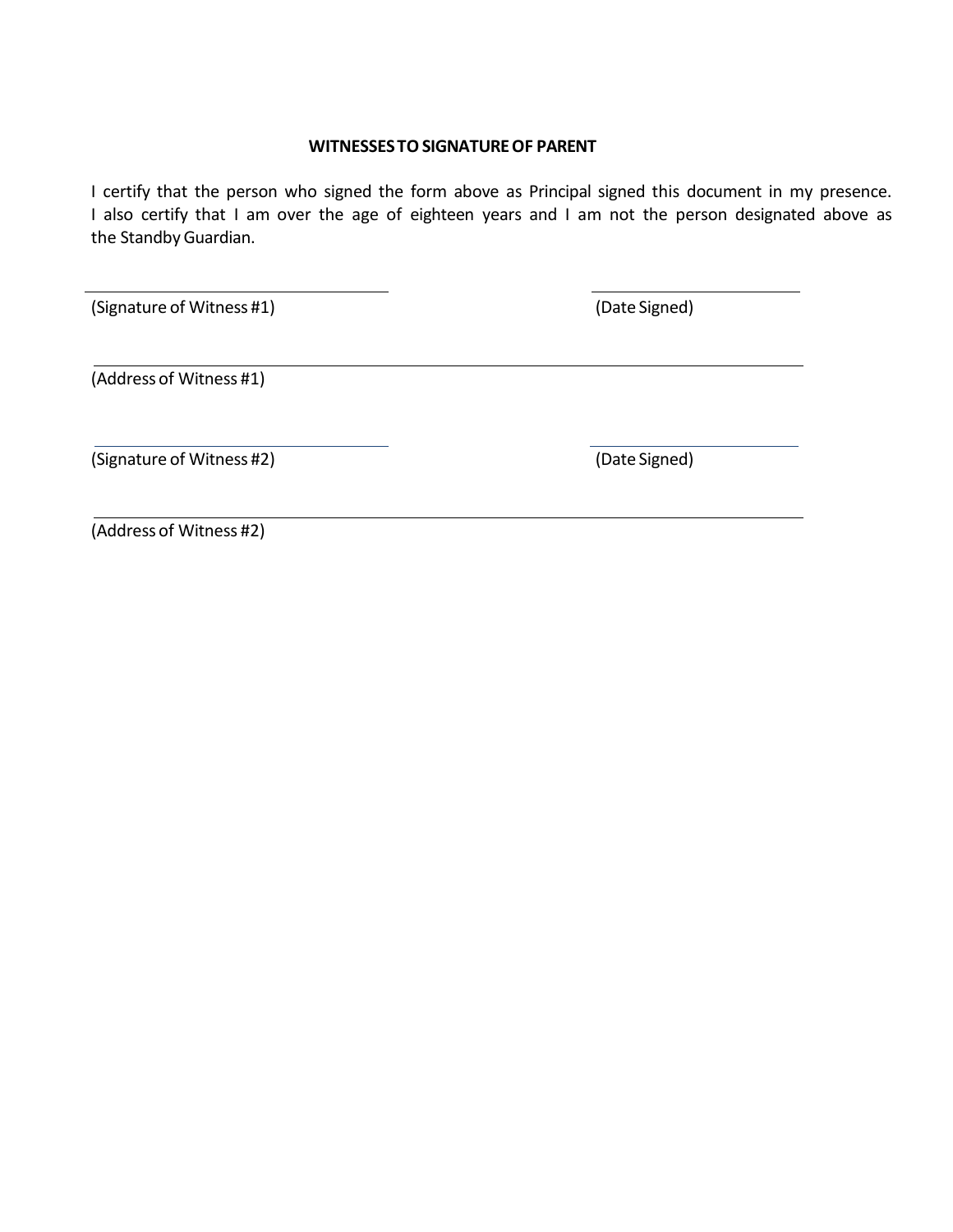#### **WITNESSESTOSIGNATUREOF PARENT**

I certify that the person who signed the form above as Principal signed this document in my presence. I also certify that I am over the age of eighteen years and I am not the person designated above as the Standby Guardian.

(Signature of Witness #1) (Date Signed)

(Address of Witness #1)

(Signature of Witness #2) (Date Signed)

(Address of Witness #2)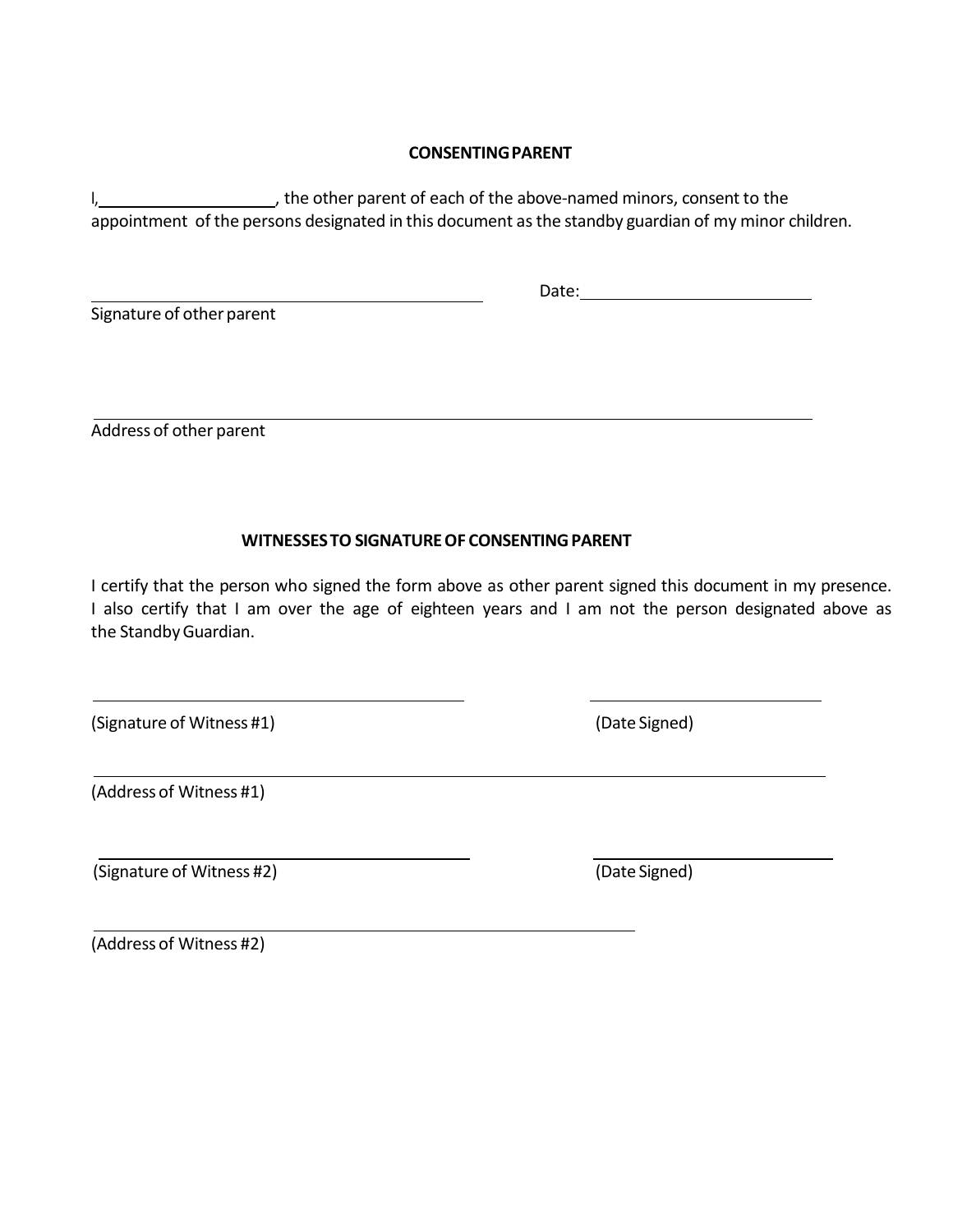#### **CONSENTINGPARENT**

I, the other parent of each of the above-named minors, consent to the appointment of the persons designated in this document as the standby guardian of my minor children.

Signature of other parent

Date:

Address of other parent

#### **WITNESSESTO SIGNATUREOF CONSENTINGPARENT**

I certify that the person who signed the form above as other parent signed this document in my presence. I also certify that I am over the age of eighteen years and I am not the person designated above as the Standby Guardian.

(Signature of Witness #1) (Signature of Witness #1)

(Address of Witness #1)

(Signature of Witness #2) (Date Signed)

(Address of Witness #2)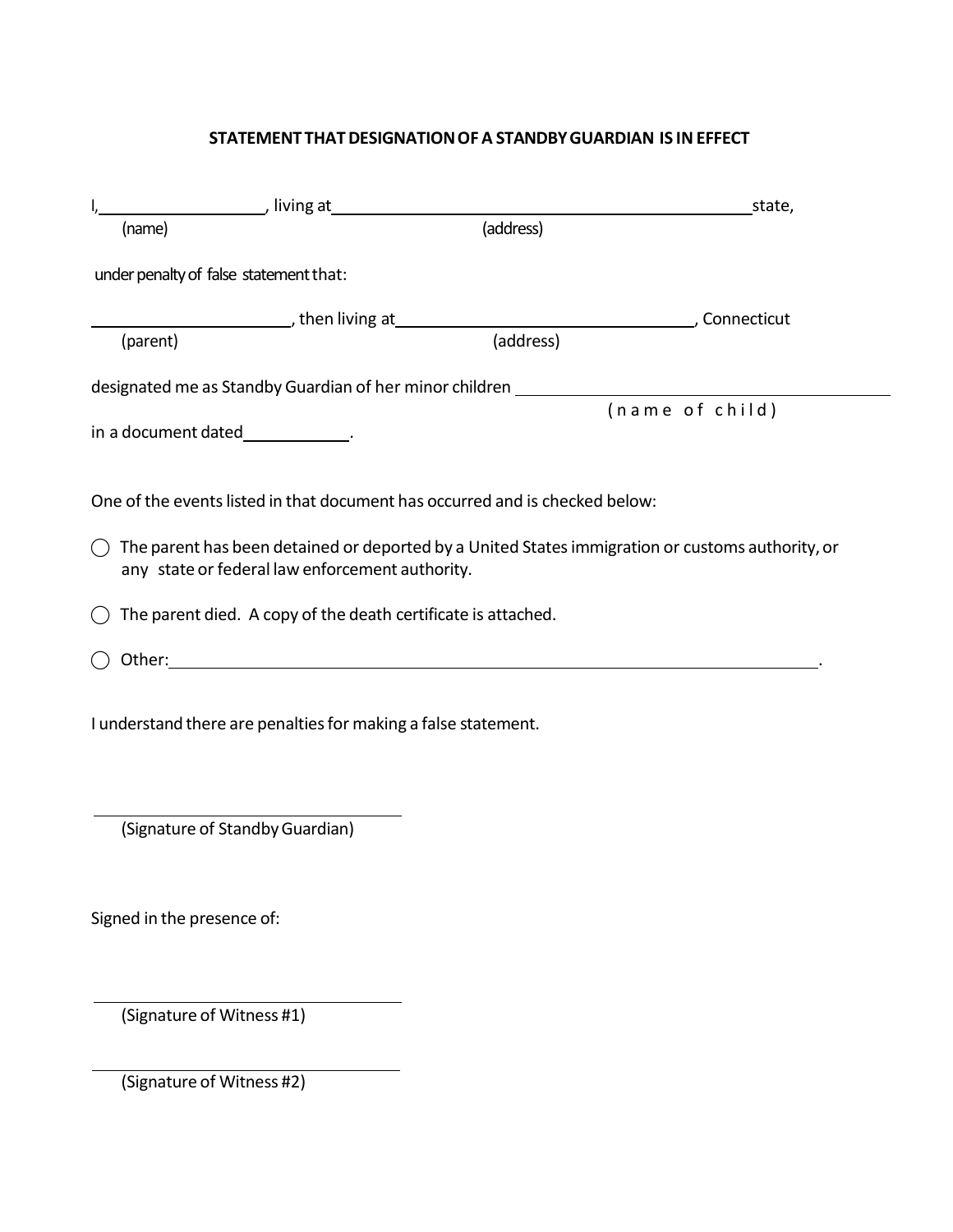#### **STATEMENT THATDESIGNATIONOFA STANDBYGUARDIAN IS INEFFECT**

|                                                                                                                                                                                                                                                                                                             | <b>Example 20</b> Iiving at the same of the same of the same of the same of the same of the same of the same of the same of the same of the same of the same of the same of the same of the same of the same of the same of the sam | state,          |
|-------------------------------------------------------------------------------------------------------------------------------------------------------------------------------------------------------------------------------------------------------------------------------------------------------------|-------------------------------------------------------------------------------------------------------------------------------------------------------------------------------------------------------------------------------------|-----------------|
| (name)                                                                                                                                                                                                                                                                                                      | (address)                                                                                                                                                                                                                           |                 |
| under penalty of false statement that:                                                                                                                                                                                                                                                                      |                                                                                                                                                                                                                                     |                 |
|                                                                                                                                                                                                                                                                                                             |                                                                                                                                                                                                                                     |                 |
| (parent)                                                                                                                                                                                                                                                                                                    | (address)                                                                                                                                                                                                                           |                 |
|                                                                                                                                                                                                                                                                                                             | designated me as Standby Guardian of her minor children ________________________                                                                                                                                                    |                 |
|                                                                                                                                                                                                                                                                                                             |                                                                                                                                                                                                                                     | (name of child) |
| in a document dated______________.                                                                                                                                                                                                                                                                          |                                                                                                                                                                                                                                     |                 |
| One of the events listed in that document has occurred and is checked below:<br>The parent has been detained or deported by a United States immigration or customs authority, or<br>( )<br>any state or federal law enforcement authority.<br>The parent died. A copy of the death certificate is attached. |                                                                                                                                                                                                                                     |                 |
| Other: with the contract of the contract of the contract of the contract of the contract of the contract of the contract of the contract of the contract of the contract of the contract of the contract of the contract of th                                                                              |                                                                                                                                                                                                                                     |                 |
| I understand there are penalties for making a false statement.                                                                                                                                                                                                                                              |                                                                                                                                                                                                                                     |                 |
| (Signature of Standby Guardian)                                                                                                                                                                                                                                                                             |                                                                                                                                                                                                                                     |                 |

Signed in the presence of:

(Signature of Witness #1)

(Signature of Witness #2)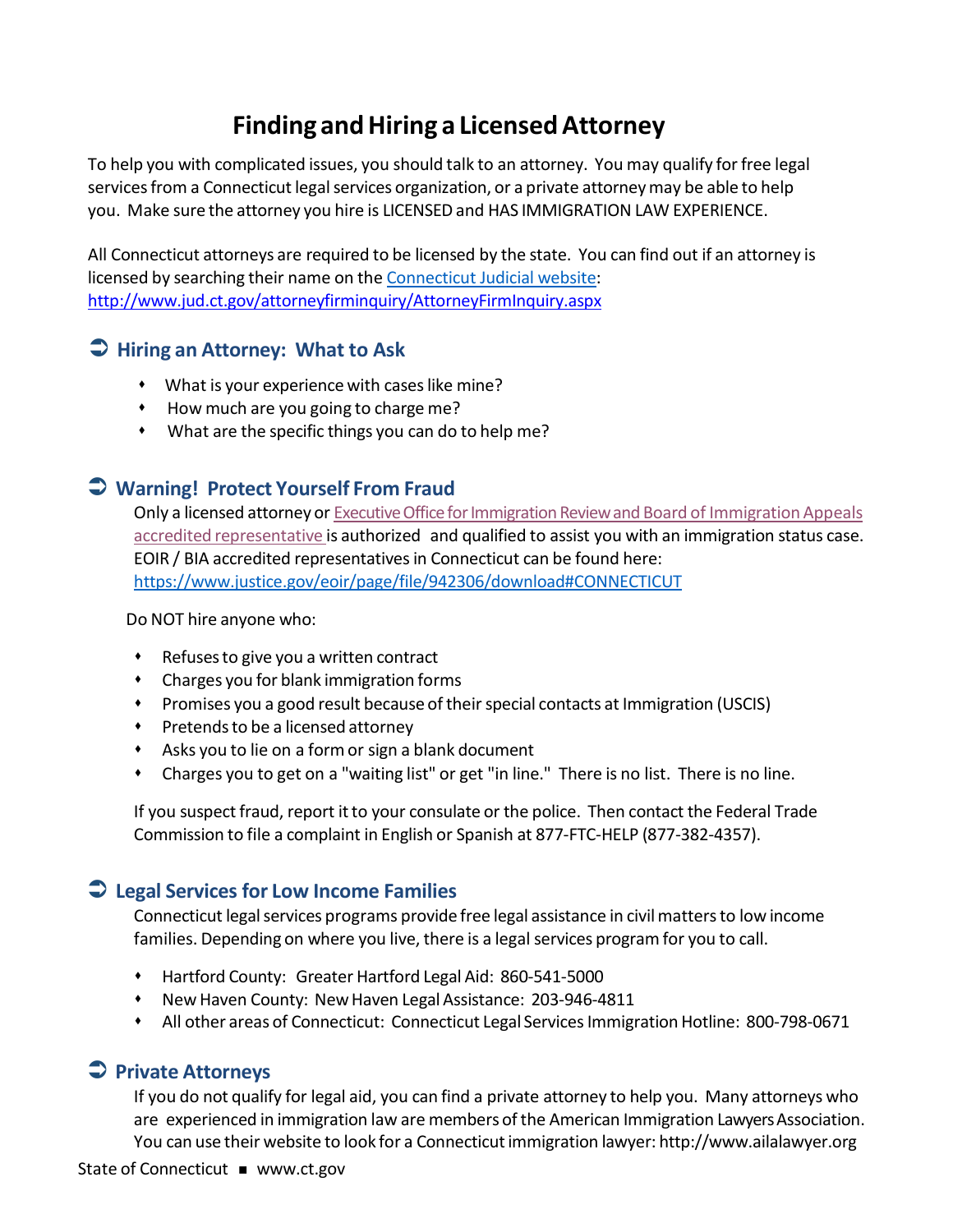### **Finding andHiring a LicensedAttorney**

To help you with complicated issues, you should talk to an attorney. You may qualify forfree legal services from a Connecticut legal services organization, or a private attorney may be able to help you. Make sure the attorney you hire is LICENSED and HAS IMMIGRATION LAW EXPERIENCE.

All Connecticut attorneys are required to be licensed by the state. You can find out if an attorney is licensed by searching their name on the [Connecticut](http://www.jud.ct.gov/attorneyfirminquiry/AttorneyFirmInquiry.aspx) Judicial website: <http://www.jud.ct.gov/attorneyfirminquiry/AttorneyFirmInquiry.aspx>

#### **Hiring an Attorney: What to Ask**

- What is your experiencewith caseslike mine?
- How much are you going to charge me?
- What are the specific things you can do to help me?

#### **Warning! Protect Yourself From Fraud**

Only a licensed attorney or Executive Office for Immigration Review and Board of Immigration Appeals accredited [representative](https://www.justice.gov/eoir/page/file/942306/download#CONNECTICUT) is authorized and qualified to assist you with an immigration status case. EOIR / BIA accredited representatives in Connecticut can be found here: <https://www.justice.gov/eoir/page/file/942306/download#CONNECTICUT>

Do NOT hire anyone who:

- Refusesto give you a written contract
- Charges you for blank immigration forms
- **Promises you a good result because of their special contacts at Immigration (USCIS)**
- Pretendsto be a licensed attorney
- Asks you to lie on a formor sign a blank document
- Charges you to get on a "waiting list" or get "in line." There is no list. There is no line.

If you suspect fraud, report it to your consulate or the police. Then contact the Federal Trade Commission to file a complaint in English or Spanish at 877-FTC-HELP (877-382-4357).

#### **Legal Services for Low Income Families**

Connecticut legal services programs provide free legal assistance in civil matters to low income families. Depending on where you live, there is a legal services program for you to call.

- Hartford County: Greater Hartford Legal Aid: 860-541-5000
- \* New Haven County: New Haven Legal Assistance: 203-946-4811
- \* All other areas of Connecticut: Connecticut Legal Services Immigration Hotline: 800-798-0671

#### **Private Attorneys**

If you do not qualify for legal aid, you can find a private attorney to help you. Many attorneys who are experienced in immigration law are members of the American Immigration Lawyers Association. You can use their website to look for a Connecticutimmigration lawyer: [http://www.ailalawyer.org](http://www.ailalawyer.org/)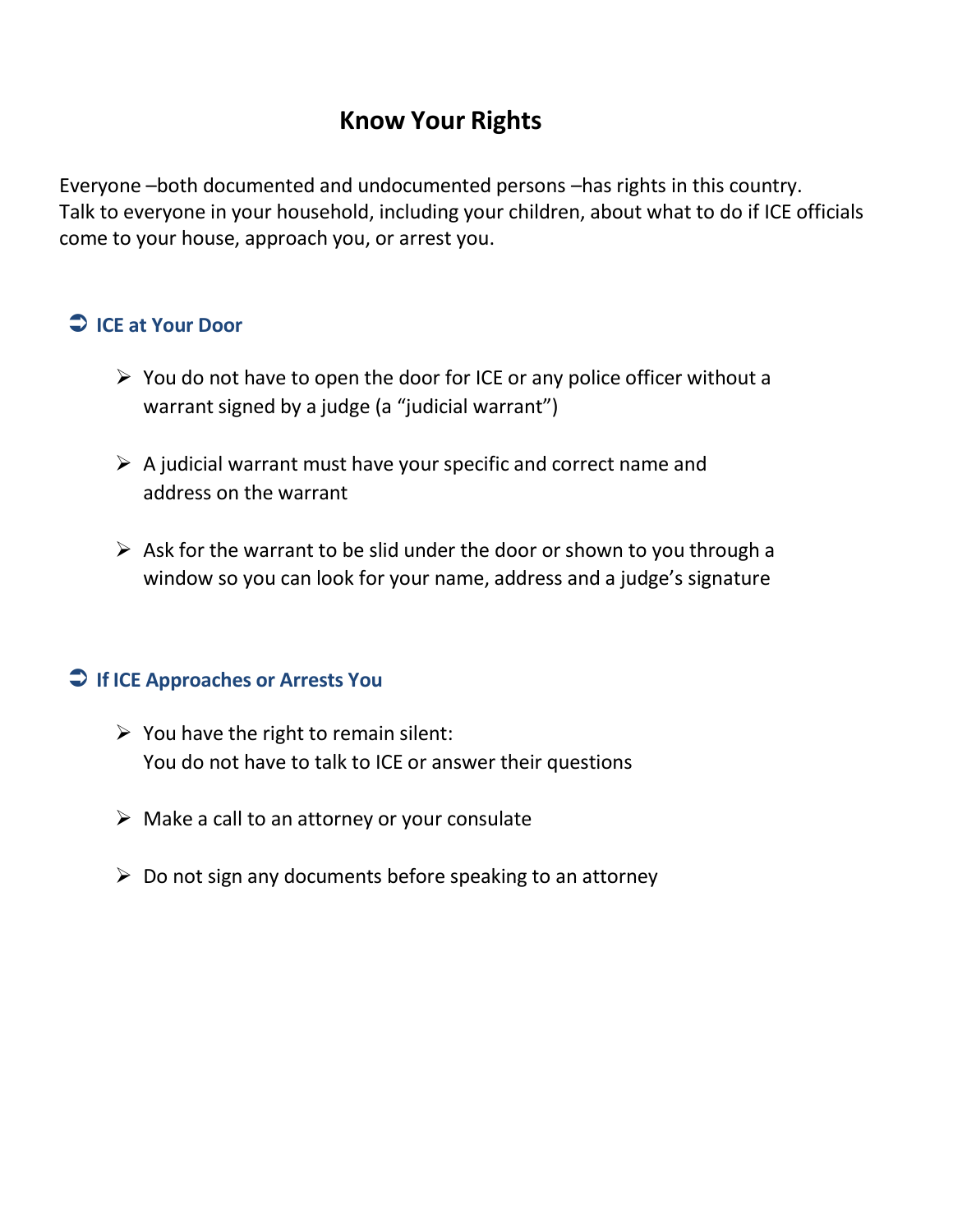### **Know Your Rights**

Everyone –both documented and undocumented persons –has rights in this country. Talk to everyone in your household, including your children, about what to do if ICE officials come to your house, approach you, or arrest you.

#### **ICE at Your Door**

- $\triangleright$  You do not have to open the door for ICE or any police officer without a warrant signed by a judge (a "judicial warrant")
- $\triangleright$  A judicial warrant must have your specific and correct name and address on the warrant
- $\triangleright$  Ask for the warrant to be slid under the door or shown to you through a window so you can look for your name, address and a judge's signature

#### **If ICE Approaches or Arrests You**

- $\triangleright$  You have the right to remain silent: You do not have to talk to ICE or answer their questions
- $\triangleright$  Make a call to an attorney or your consulate
- $\triangleright$  Do not sign any documents before speaking to an attorney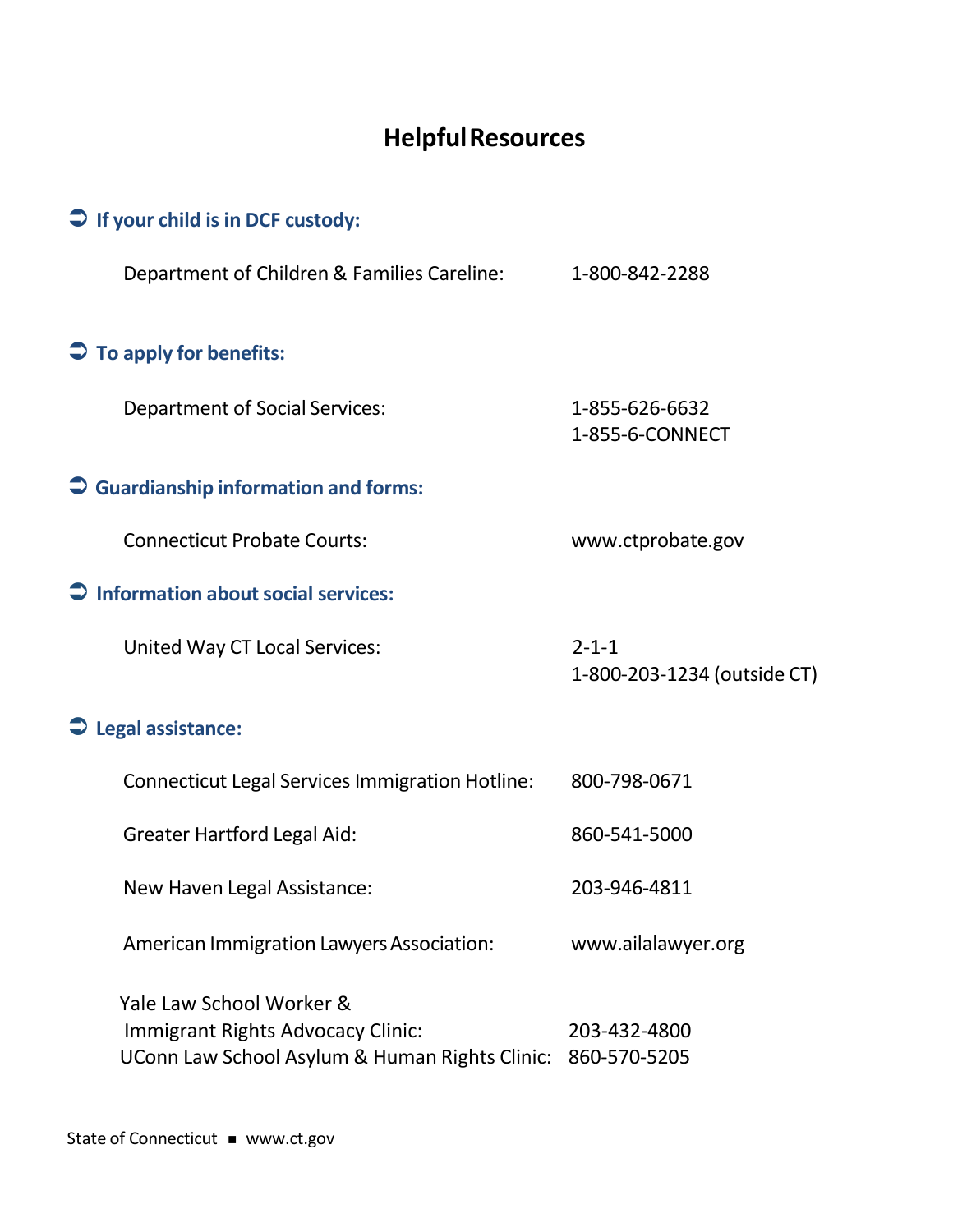## **HelpfulResources**

| $\supset$ If your child is in DCF custody:                                                                      |                                            |
|-----------------------------------------------------------------------------------------------------------------|--------------------------------------------|
| Department of Children & Families Careline:                                                                     | 1-800-842-2288                             |
| $\supset \overline{\phantom{a}}$ To apply for benefits:                                                         |                                            |
| <b>Department of Social Services:</b>                                                                           | 1-855-626-6632<br>1-855-6-CONNECT          |
| $\supset$ Guardianship information and forms:                                                                   |                                            |
| <b>Connecticut Probate Courts:</b>                                                                              | www.ctprobate.gov                          |
| $\supset$ Information about social services:                                                                    |                                            |
| <b>United Way CT Local Services:</b>                                                                            | $2 - 1 - 1$<br>1-800-203-1234 (outside CT) |
| $\supseteq$ Legal assistance:                                                                                   |                                            |
| <b>Connecticut Legal Services Immigration Hotline:</b>                                                          | 800-798-0671                               |
| <b>Greater Hartford Legal Aid:</b>                                                                              | 860-541-5000                               |
| New Haven Legal Assistance:                                                                                     | 203-946-4811                               |
| American Immigration Lawyers Association:                                                                       | www.ailalawyer.org                         |
| Yale Law School Worker &<br>Immigrant Rights Advocacy Clinic:<br>UConn Law School Asylum & Human Rights Clinic: | 203-432-4800<br>860-570-5205               |

State of Connecticut **=** [www.ct.gov](http://www.ct.gov/)